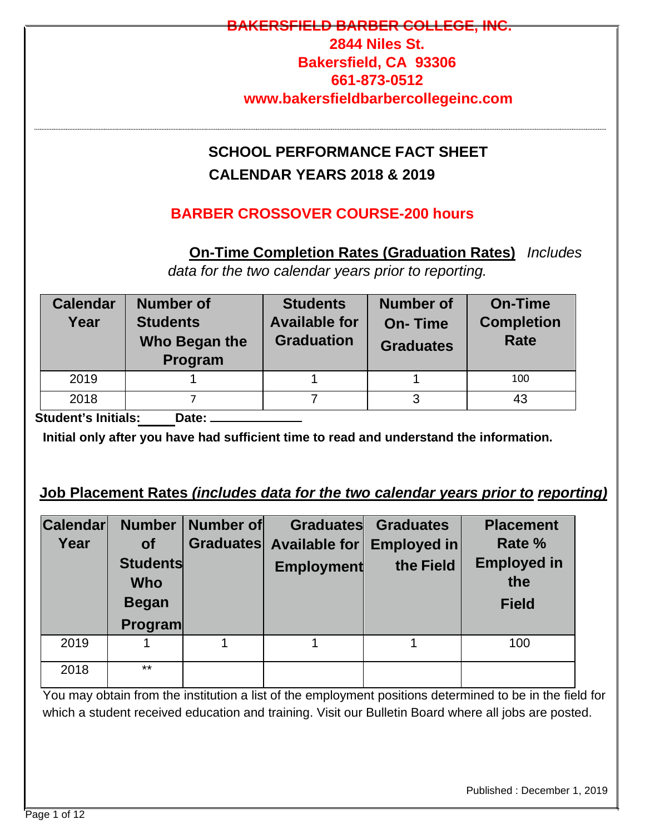# **BARBER COLLECT 2844 Niles St. Bakersfield, CA 93306 661-873-0512 www.bakersfieldbarbercollegeinc.com SCHOOL PERFORMANCE FACT SHEET CALENDAR YEARS 2018 & 2019 BARBER CROSSOVER COURSE-200 hours On-Time Completion Rates (Graduation Rates)** *Includes data for the two calendar years prior to reporting.*

| <b>Calendar</b><br>Year | <b>Number of</b><br><b>Students</b><br>Who Began the<br>Program | <b>Students</b><br><b>Available for</b><br><b>Graduation</b> | Number of<br><b>On-Time</b><br><b>Graduates</b> | <b>On-Time</b><br><b>Completion</b><br><b>Rate</b> |  |
|-------------------------|-----------------------------------------------------------------|--------------------------------------------------------------|-------------------------------------------------|----------------------------------------------------|--|
| 2019                    |                                                                 |                                                              |                                                 | 100                                                |  |
| 2018                    |                                                                 |                                                              |                                                 | 43                                                 |  |
| --<br>.                 |                                                                 |                                                              |                                                 |                                                    |  |

**Student's Initials: Date:** 

**Initial only after you have had sufficient time to read and understand the information.** 

# **Job Placement Rates** *(includes data for the two calendar years prior to reporting)*

| <b>Calendar</b> | <b>Number</b>   | Number of |                         | <b>Graduates Graduates</b> | <b>Placement</b>   |
|-----------------|-----------------|-----------|-------------------------|----------------------------|--------------------|
| Year            | <b>of</b>       |           | Graduates Available for | <b>Employed in</b>         | Rate %             |
|                 | <b>Students</b> |           | <b>Employment</b>       | the Field                  | <b>Employed in</b> |
|                 | <b>Who</b>      |           |                         |                            | the                |
|                 | <b>Began</b>    |           |                         |                            | <b>Field</b>       |
|                 | <b>Program</b>  |           |                         |                            |                    |
| 2019            |                 |           |                         |                            | 100                |
| 2018            | $***$           |           |                         |                            |                    |

You may obtain from the institution a list of the employment positions determined to be in the field for which a student received education and training. Visit our Bulletin Board where all jobs are posted.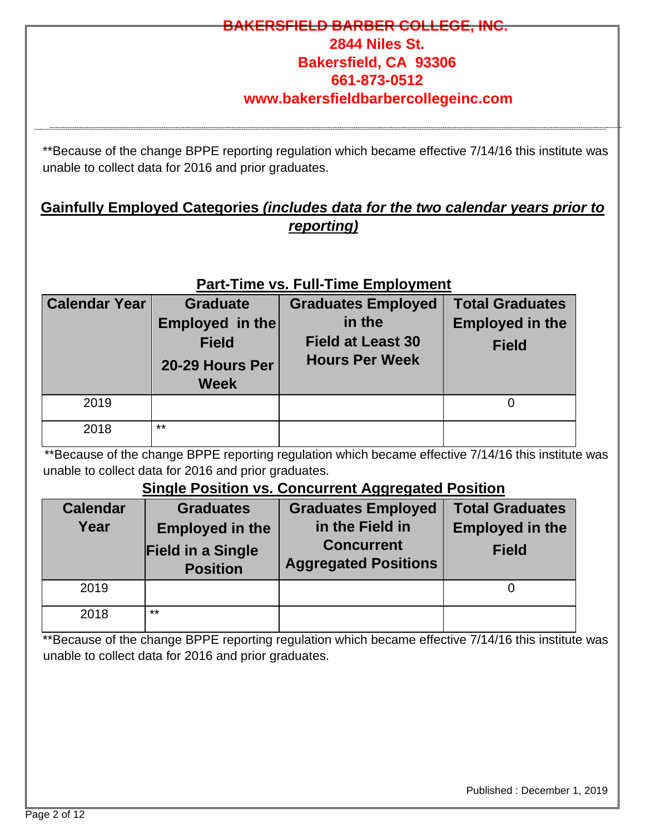# <del>IELD BARBER COLLEG</del> **2844 Niles St. Bakersfield, CA 93306 661-873-0512 www.bakersfieldbarbercollegeinc.com**

\*\*Because of the change BPPE reporting regulation which became effective 7/14/16 this institute was unable to collect data for 2016 and prior graduates.

### **Gainfully Employed Categories** *(includes data for the two calendar years prior to reporting)*

### **Part-Time vs. Full-Time Employment**

| <b>Calendar Year</b> | <b>Graduate</b><br>Employed in the<br><b>Field</b><br>20-29 Hours Per<br><b>Week</b> | <b>Graduates Employed</b><br>in the<br><b>Field at Least 30</b><br><b>Hours Per Week</b> | <b>Total Graduates</b><br><b>Employed in the</b><br><b>Field</b> |
|----------------------|--------------------------------------------------------------------------------------|------------------------------------------------------------------------------------------|------------------------------------------------------------------|
| 2019                 |                                                                                      |                                                                                          |                                                                  |
| 2018                 | $***$                                                                                |                                                                                          |                                                                  |

\*\*Because of the change BPPE reporting regulation which became effective 7/14/16 this institute was unable to collect data for 2016 and prior graduates.

### **Single Position vs. Concurrent Aggregated Position**

| <b>Calendar</b><br>Year | <b>Graduates</b><br><b>Employed in the</b><br><b>Field in a Single</b><br><b>Position</b> | <b>Graduates Employed</b><br>in the Field in<br><b>Concurrent</b><br><b>Aggregated Positions</b> | <b>Total Graduates</b><br><b>Employed in the</b><br><b>Field</b> |
|-------------------------|-------------------------------------------------------------------------------------------|--------------------------------------------------------------------------------------------------|------------------------------------------------------------------|
| 2019                    |                                                                                           |                                                                                                  |                                                                  |
| 2018                    | **                                                                                        |                                                                                                  |                                                                  |

\*\*Because of the change BPPE reporting regulation which became effective 7/14/16 this institute was unable to collect data for 2016 and prior graduates.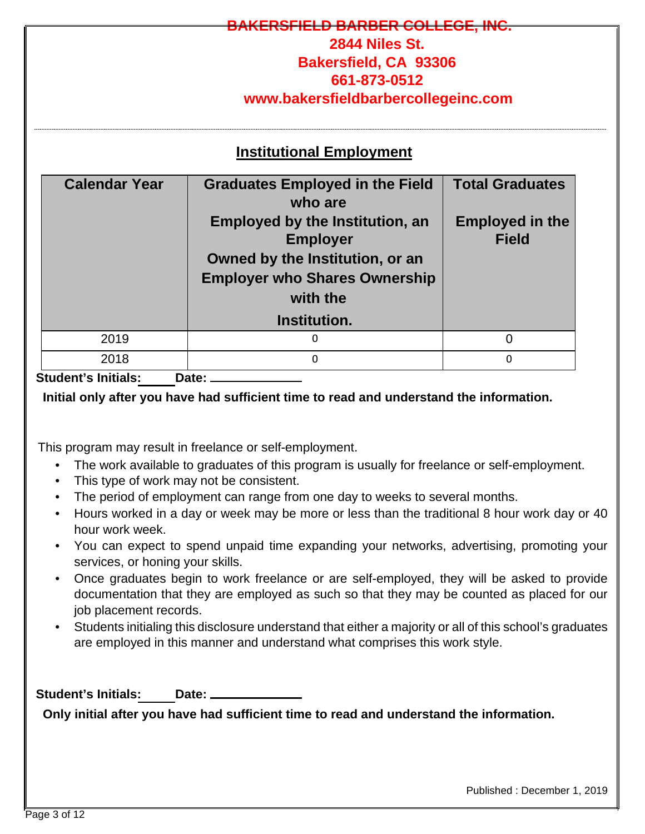# **BARBER COLLEGE, INC. 2844 Niles St. Bakersfield, CA 93306 661-873-0512 www.bakersfieldbarbercollegeinc.com Institutional Employment Calendar Year Graduates Employed in the Field who are Total Graduates Employed by the Institution, an Employer Owned by the Institution, or an Employer who Shares Ownership with the Institution. Employed in the Field** 2019 0 0 2018 0 0

#### **Student's Initials: Date:**

#### **Initial only after you have had sufficient time to read and understand the information.**

This program may result in freelance or self-employment.

- The work available to graduates of this program is usually for freelance or self-employment.
- This type of work may not be consistent.
- The period of employment can range from one day to weeks to several months.
- Hours worked in a day or week may be more or less than the traditional 8 hour work day or 40 hour work week.
- You can expect to spend unpaid time expanding your networks, advertising, promoting your services, or honing your skills.
- Once graduates begin to work freelance or are self-employed, they will be asked to provide documentation that they are employed as such so that they may be counted as placed for our job placement records.
- Students initialing this disclosure understand that either a majority or all of this school's graduates are employed in this manner and understand what comprises this work style.

Student's Initials: Date: \_

**Only initial after you have had sufficient time to read and understand the information.**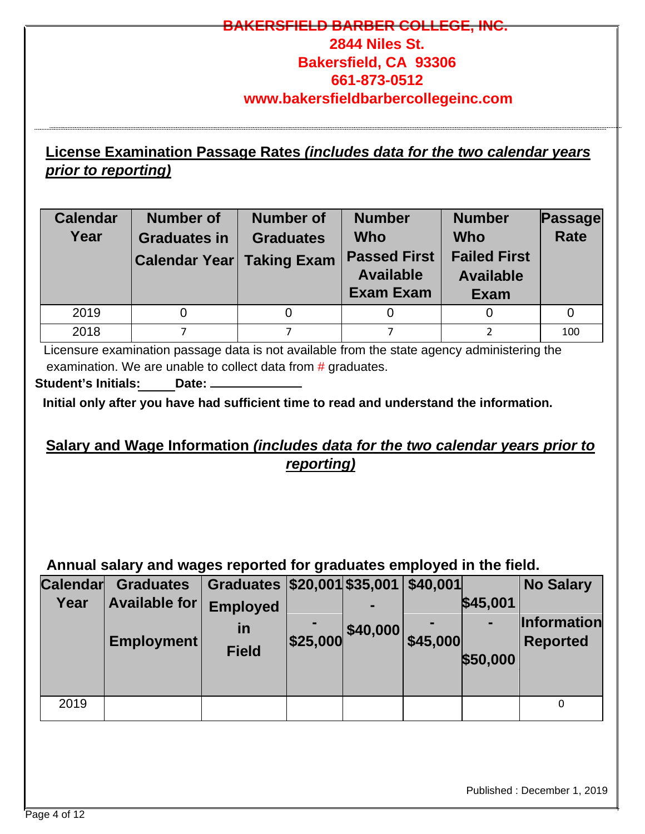### **RSFIELD BARBER COLLEGE**

# **2844 Niles St. Bakersfield, CA 93306 661-873-0512 www.bakersfieldbarbercollegeinc.com**

# **License Examination Passage Rates** *(includes data for the two calendar years prior to reporting)*

| <b>Calendar</b><br>Year | <b>Number of</b><br><b>Graduates in</b><br><b>Calendar Year Taking Exam</b> | <b>Number of</b><br><b>Graduates</b> | <b>Number</b><br>Who<br><b>Passed First</b><br><b>Available</b><br><b>Exam Exam</b> | <b>Number</b><br><b>Who</b><br><b>Failed First</b><br><b>Available</b><br><b>Exam</b> | <b>Passage</b><br><b>Rate</b> |
|-------------------------|-----------------------------------------------------------------------------|--------------------------------------|-------------------------------------------------------------------------------------|---------------------------------------------------------------------------------------|-------------------------------|
| 2019                    |                                                                             |                                      |                                                                                     |                                                                                       |                               |
| 2018                    |                                                                             |                                      |                                                                                     |                                                                                       | 100                           |

Licensure examination passage data is not available from the state agency administering the examination. We are unable to collect data from # graduates.

**Student's Initials: Date:** 

**Initial only after you have had sufficient time to read and understand the information.** 

### **Salary and Wage Information** *(includes data for the two calendar years prior to reporting)*

# **Annual salary and wages reported for graduates employed in the field.**

| <b>Calendar</b> | <b>Graduates</b>     | Graduates \$20,001 \$35,001 \$40,001 |          |          |          |          | <b>No Salary</b>   |
|-----------------|----------------------|--------------------------------------|----------|----------|----------|----------|--------------------|
| Year            | <b>Available for</b> | <b>Employed</b>                      |          |          |          | \$45,001 |                    |
|                 |                      | <u>in</u>                            |          | \$40,000 |          | -        | <b>Information</b> |
|                 | Employment           | <b>Field</b>                         | \$25,000 |          | \$45,000 |          | <b>Reported</b>    |
|                 |                      |                                      |          |          |          | \$50,000 |                    |
|                 |                      |                                      |          |          |          |          |                    |
| 2019            |                      |                                      |          |          |          |          |                    |

Published : December 1, 2019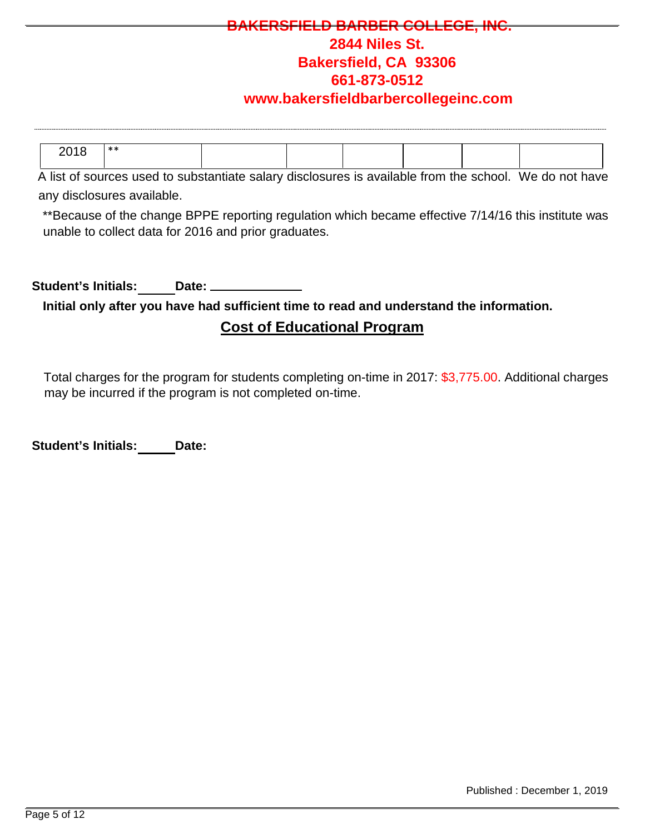# **IELD BARBER COLLEC 2844 Niles St. Bakersfield, CA 93306 661-873-0512**

#### **www.bakersfieldbarbercollegeinc.com**

| nn∢ c<br>20 I U | ** |  |  |  |
|-----------------|----|--|--|--|
|                 |    |  |  |  |

A list of sources used to substantiate salary disclosures is available from the school. We do not have any disclosures available.

\*\*Because of the change BPPE reporting regulation which became effective 7/14/16 this institute was unable to collect data for 2016 and prior graduates.

**Student's Initials: Date:** 

**Initial only after you have had sufficient time to read and understand the information.** 

#### **Cost of Educational Program**

Total charges for the program for students completing on-time in 2017: \$3,775.00. Additional charges may be incurred if the program is not completed on-time.

**Student's Initials: Date:**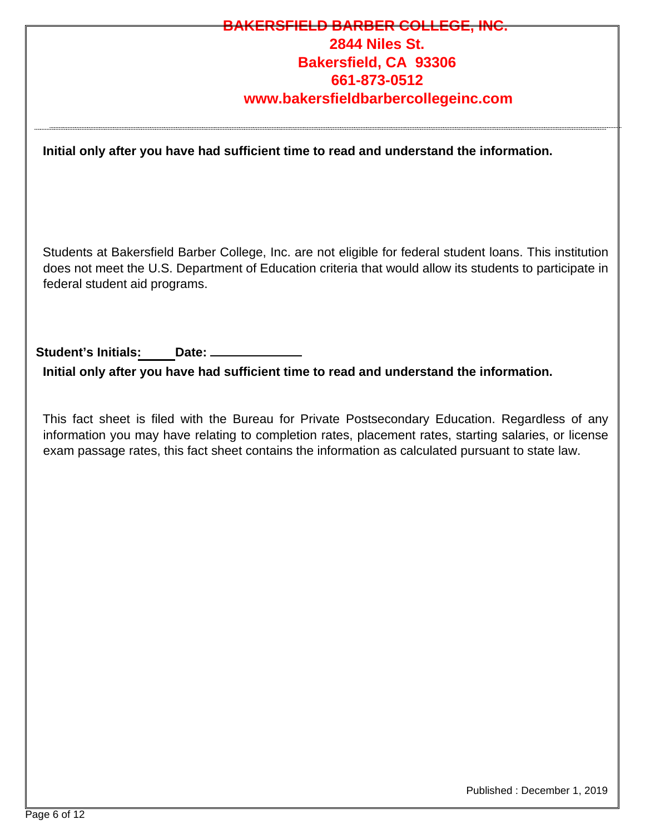### **ELD BARBER COLLE 2844 Niles St. Bakersfield, CA 93306 661-873-0512 www.bakersfieldbarbercollegeinc.com**

**Initial only after you have had sufficient time to read and understand the information.** 

Students at Bakersfield Barber College, Inc. are not eligible for federal student loans. This institution does not meet the U.S. Department of Education criteria that would allow its students to participate in federal student aid programs.

**Student's Initials: Date:** 

**Initial only after you have had sufficient time to read and understand the information.** 

This fact sheet is filed with the Bureau for Private Postsecondary Education. Regardless of any information you may have relating to completion rates, placement rates, starting salaries, or license exam passage rates, this fact sheet contains the information as calculated pursuant to state law.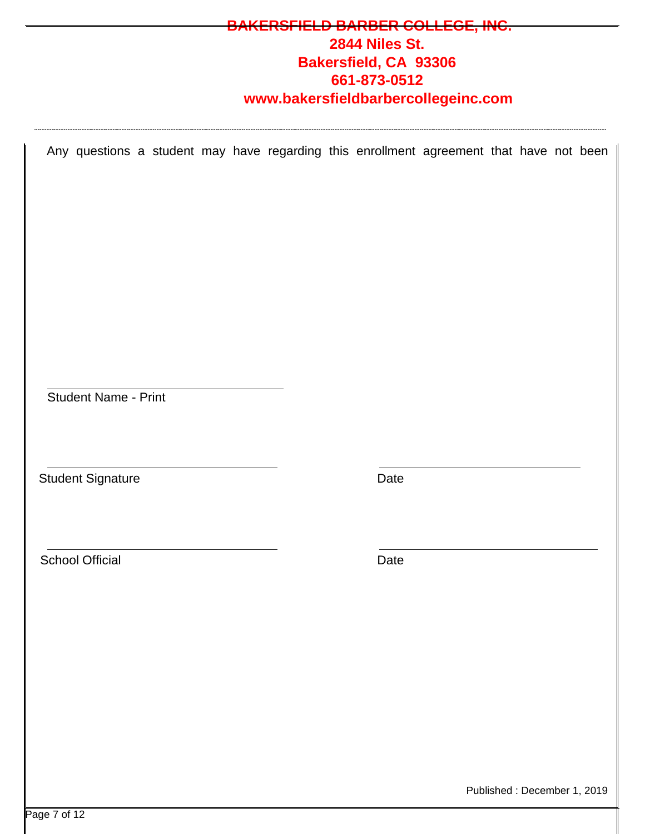# **BARBER COLLEGE, INC. 2844 Niles St. Bakersfield, CA 93306 661-873-0512 www.bakersfieldbarbercollegeinc.com**

Any questions a student may have regarding this enrollment agreement that have not been

Student Name - Print

Student Signature

Date

School Official

Date

Published : December 1, 2019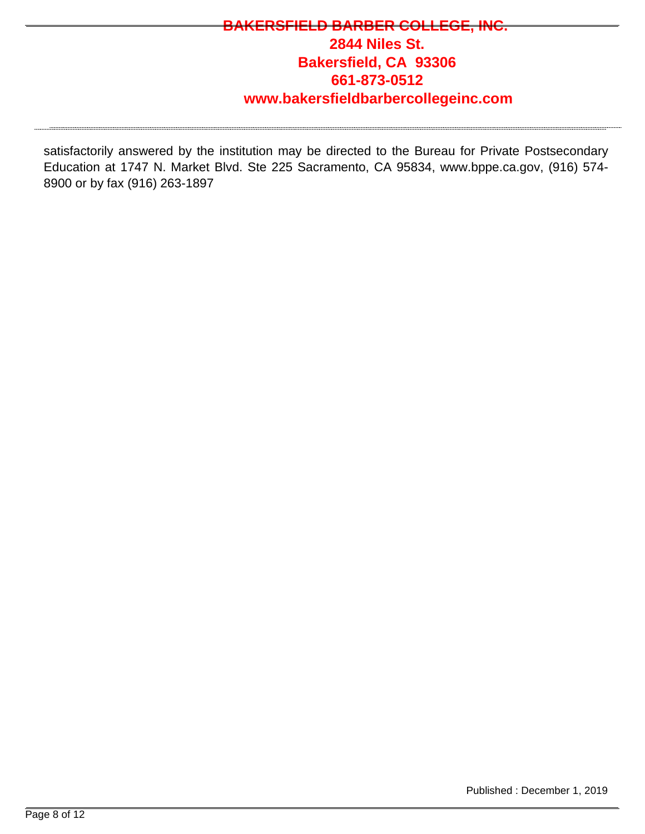# **BARBER COLLEGE 2844 Niles St. Bakersfield, CA 93306 661-873-0512 www.bakersfieldbarbercollegeinc.com**

satisfactorily answered by the institution may be directed to the Bureau for Private Postsecondary Education at 1747 N. Market Blvd. Ste 225 Sacramento, CA 95834, www.bppe.ca.gov, (916) 574- 8900 or by fax (916) 263-1897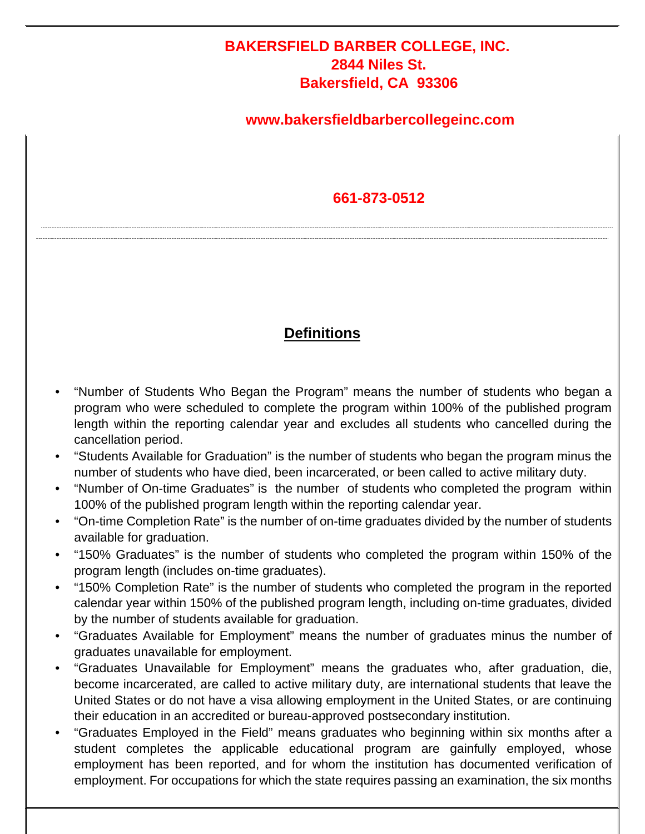### **BAKERSFIELD BARBER COLLEGE, INC. 2844 Niles St. Bakersfield, CA 93306**

### **www.bakersfieldbarbercollegeinc.com**

### **661-873-0512**

### **Definitions**

- "Number of Students Who Began the Program" means the number of students who began a program who were scheduled to complete the program within 100% of the published program length within the reporting calendar year and excludes all students who cancelled during the cancellation period.
- "Students Available for Graduation" is the number of students who began the program minus the number of students who have died, been incarcerated, or been called to active military duty.
- "Number of On-time Graduates" is the number of students who completed the program within 100% of the published program length within the reporting calendar year.
- "On-time Completion Rate" is the number of on-time graduates divided by the number of students available for graduation.
- "150% Graduates" is the number of students who completed the program within 150% of the program length (includes on-time graduates).
- "150% Completion Rate" is the number of students who completed the program in the reported calendar year within 150% of the published program length, including on-time graduates, divided by the number of students available for graduation.
- "Graduates Available for Employment" means the number of graduates minus the number of graduates unavailable for employment.
- "Graduates Unavailable for Employment" means the graduates who, after graduation, die, become incarcerated, are called to active military duty, are international students that leave the United States or do not have a visa allowing employment in the United States, or are continuing their education in an accredited or bureau-approved postsecondary institution.
- "Graduates Employed in the Field" means graduates who beginning within six months after a student completes the applicable educational program are gainfully employed, whose employment has been reported, and for whom the institution has documented verification of employment. For occupations for which the state requires passing an examination, the six months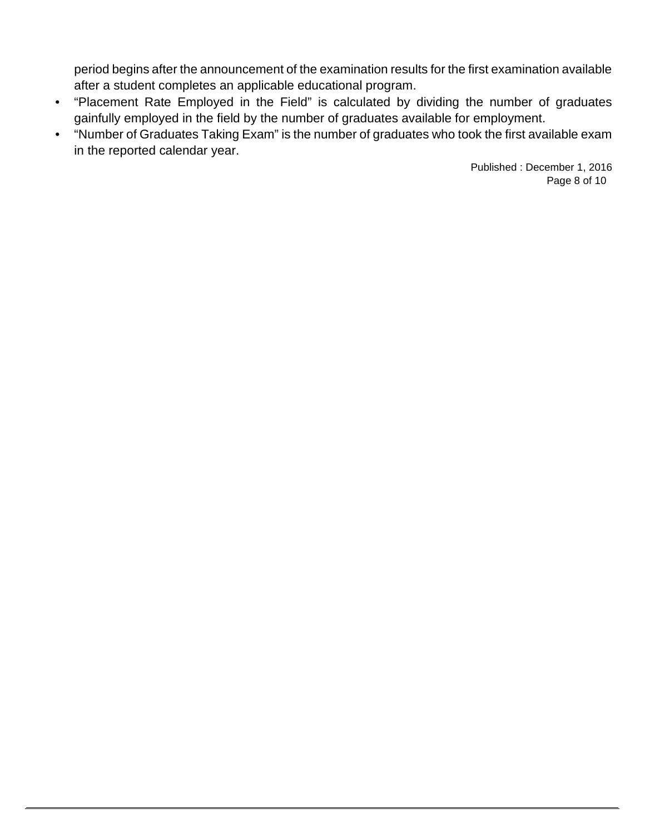period begins after the announcement of the examination results for the first examination available after a student completes an applicable educational program.

- "Placement Rate Employed in the Field" is calculated by dividing the number of graduates gainfully employed in the field by the number of graduates available for employment.
- "Number of Graduates Taking Exam" is the number of graduates who took the first available exam in the reported calendar year.

Published : December 1, 2016 Page 8 of 10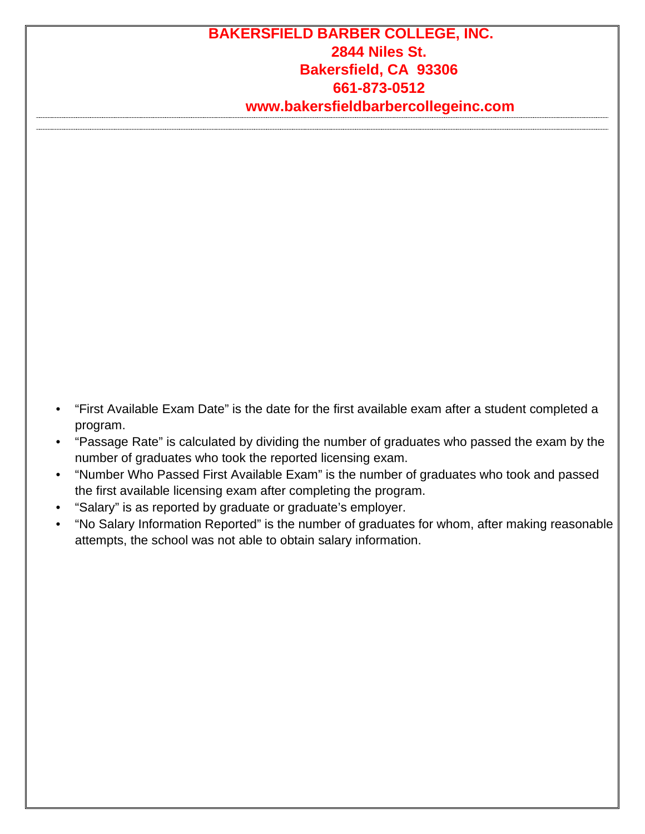### **BAKERSFIELD BARBER COLLEGE, INC. 2844 Niles St. Bakersfield, CA 93306 661-873-0512 www.bakersfieldbarbercollegeinc.com**

- "First Available Exam Date" is the date for the first available exam after a student completed a program.
- "Passage Rate" is calculated by dividing the number of graduates who passed the exam by the number of graduates who took the reported licensing exam.
- "Number Who Passed First Available Exam" is the number of graduates who took and passed the first available licensing exam after completing the program.
- "Salary" is as reported by graduate or graduate's employer.
- "No Salary Information Reported" is the number of graduates for whom, after making reasonable attempts, the school was not able to obtain salary information.